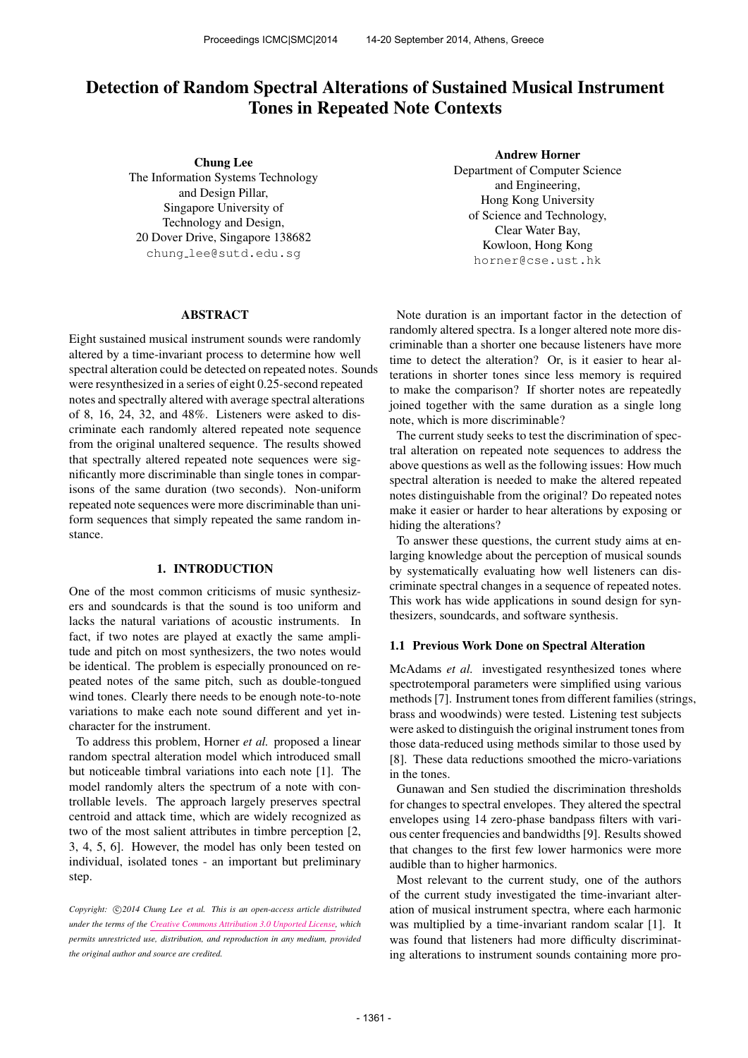# Detection of Random Spectral Alterations of Sustained Musical Instrument Tones in Repeated Note Contexts

Chung Lee The Information Systems Technology and Design Pillar, Singapore University of Technology and Design, 20 Dover Drive, Singapore 138682 chung [lee@sutd.edu.sg](mailto:chung_lee@sutd.edu.sg)

## ABSTRACT

Eight sustained musical instrument sounds were randomly altered by a time-invariant process to determine how well spectral alteration could be detected on repeated notes. Sounds were resynthesized in a series of eight 0.25-second repeated notes and spectrally altered with average spectral alterations of 8, 16, 24, 32, and 48%. Listeners were asked to discriminate each randomly altered repeated note sequence from the original unaltered sequence. The results showed that spectrally altered repeated note sequences were significantly more discriminable than single tones in comparisons of the same duration (two seconds). Non-uniform repeated note sequences were more discriminable than uniform sequences that simply repeated the same random instance.

## 1. INTRODUCTION

One of the most common criticisms of music synthesizers and soundcards is that the sound is too uniform and lacks the natural variations of acoustic instruments. In fact, if two notes are played at exactly the same amplitude and pitch on most synthesizers, the two notes would be identical. The problem is especially pronounced on repeated notes of the same pitch, such as double-tongued wind tones. Clearly there needs to be enough note-to-note variations to make each note sound different and yet incharacter for the instrument.

To address this problem, Horner *et al.* proposed a linear random spectral alteration model which introduced small but noticeable timbral variations into each note [1]. The model randomly alters the spectrum of a note with controllable levels. The approach largely preserves spectral centroid and attack time, which are widely recognized as two of the most salient attributes in timbre perception [2, 3, 4, 5, 6]. However, the model has only been tested on individual, isolated tones - an important but preliminary step.

Copyright:  $\bigcirc$ 2014 Chung Lee et al. This is an open-access article distributed *under the terms of the [Creative Commons Attribution 3.0 Unported License,](http://creativecommons.org/licenses/by/3.0/) which permits unrestricted use, distribution, and reproduction in any medium, provided the original author and source are credited.*

Andrew Horner

Department of Computer Science and Engineering, Hong Kong University of Science and Technology, Clear Water Bay, Kowloon, Hong Kong [horner@cse.ust.hk](mailto:horner@cse.ust.hk)

Note duration is an important factor in the detection of randomly altered spectra. Is a longer altered note more discriminable than a shorter one because listeners have more time to detect the alteration? Or, is it easier to hear alterations in shorter tones since less memory is required to make the comparison? If shorter notes are repeatedly joined together with the same duration as a single long note, which is more discriminable?

The current study seeks to test the discrimination of spectral alteration on repeated note sequences to address the above questions as well as the following issues: How much spectral alteration is needed to make the altered repeated notes distinguishable from the original? Do repeated notes make it easier or harder to hear alterations by exposing or hiding the alterations?

To answer these questions, the current study aims at enlarging knowledge about the perception of musical sounds by systematically evaluating how well listeners can discriminate spectral changes in a sequence of repeated notes. This work has wide applications in sound design for synthesizers, soundcards, and software synthesis.

#### 1.1 Previous Work Done on Spectral Alteration

McAdams *et al.* investigated resynthesized tones where spectrotemporal parameters were simplified using various methods [7]. Instrument tones from different families (strings, brass and woodwinds) were tested. Listening test subjects were asked to distinguish the original instrument tones from those data-reduced using methods similar to those used by [8]. These data reductions smoothed the micro-variations in the tones.

Gunawan and Sen studied the discrimination thresholds for changes to spectral envelopes. They altered the spectral envelopes using 14 zero-phase bandpass filters with various center frequencies and bandwidths [9]. Results showed that changes to the first few lower harmonics were more audible than to higher harmonics.

Most relevant to the current study, one of the authors of the current study investigated the time-invariant alteration of musical instrument spectra, where each harmonic was multiplied by a time-invariant random scalar [1]. It was found that listeners had more difficulty discriminating alterations to instrument sounds containing more pro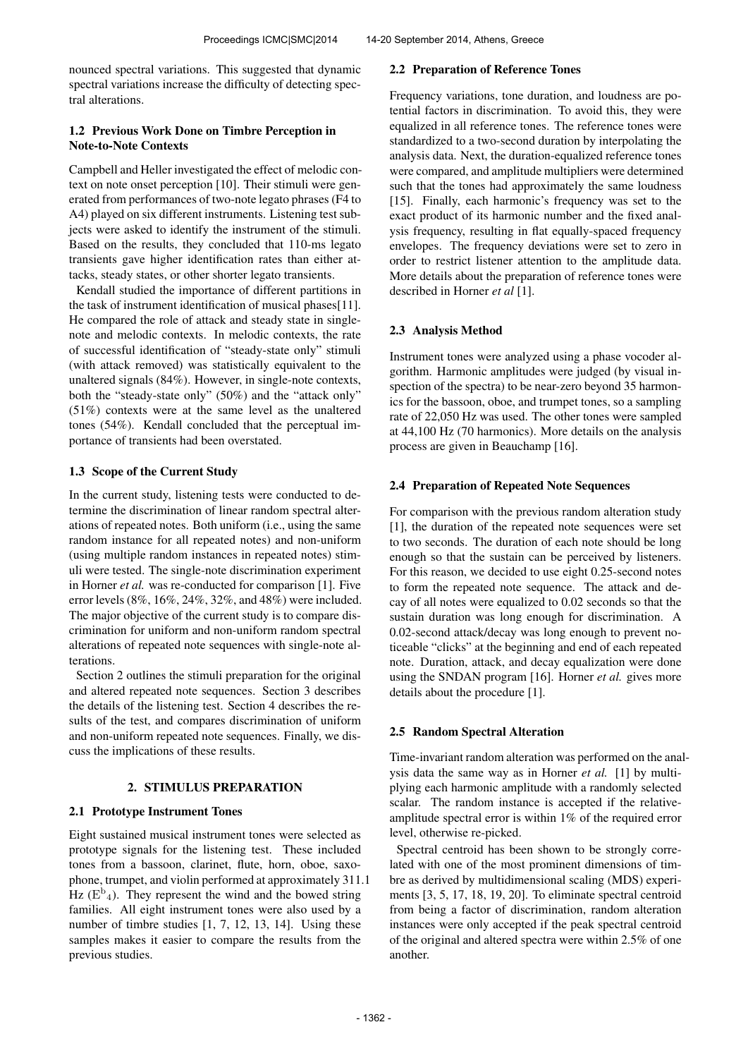nounced spectral variations. This suggested that dynamic spectral variations increase the difficulty of detecting spectral alterations.

# 1.2 Previous Work Done on Timbre Perception in Note-to-Note Contexts

Campbell and Heller investigated the effect of melodic context on note onset perception [10]. Their stimuli were generated from performances of two-note legato phrases (F4 to A4) played on six different instruments. Listening test subjects were asked to identify the instrument of the stimuli. Based on the results, they concluded that 110-ms legato transients gave higher identification rates than either attacks, steady states, or other shorter legato transients.

Kendall studied the importance of different partitions in the task of instrument identification of musical phases[11]. He compared the role of attack and steady state in singlenote and melodic contexts. In melodic contexts, the rate of successful identification of "steady-state only" stimuli (with attack removed) was statistically equivalent to the unaltered signals (84%). However, in single-note contexts, both the "steady-state only" (50%) and the "attack only" (51%) contexts were at the same level as the unaltered tones (54%). Kendall concluded that the perceptual importance of transients had been overstated.

# 1.3 Scope of the Current Study

In the current study, listening tests were conducted to determine the discrimination of linear random spectral alterations of repeated notes. Both uniform (i.e., using the same random instance for all repeated notes) and non-uniform (using multiple random instances in repeated notes) stimuli were tested. The single-note discrimination experiment in Horner *et al.* was re-conducted for comparison [1]. Five error levels (8%, 16%, 24%, 32%, and 48%) were included. The major objective of the current study is to compare discrimination for uniform and non-uniform random spectral alterations of repeated note sequences with single-note alterations.

Section 2 outlines the stimuli preparation for the original and altered repeated note sequences. Section 3 describes the details of the listening test. Section 4 describes the results of the test, and compares discrimination of uniform and non-uniform repeated note sequences. Finally, we discuss the implications of these results.

# 2. STIMULUS PREPARATION

# 2.1 Prototype Instrument Tones

Eight sustained musical instrument tones were selected as prototype signals for the listening test. These included tones from a bassoon, clarinet, flute, horn, oboe, saxophone, trumpet, and violin performed at approximately 311.1  $\overline{H}$ z ( $E^b$ <sub>4</sub>). They represent the wind and the bowed string families. All eight instrument tones were also used by a number of timbre studies [1, 7, 12, 13, 14]. Using these samples makes it easier to compare the results from the previous studies.

## 2.2 Preparation of Reference Tones

Frequency variations, tone duration, and loudness are potential factors in discrimination. To avoid this, they were equalized in all reference tones. The reference tones were standardized to a two-second duration by interpolating the analysis data. Next, the duration-equalized reference tones were compared, and amplitude multipliers were determined such that the tones had approximately the same loudness [15]. Finally, each harmonic's frequency was set to the exact product of its harmonic number and the fixed analysis frequency, resulting in flat equally-spaced frequency envelopes. The frequency deviations were set to zero in order to restrict listener attention to the amplitude data. More details about the preparation of reference tones were described in Horner *et al* [1].

# 2.3 Analysis Method

Instrument tones were analyzed using a phase vocoder algorithm. Harmonic amplitudes were judged (by visual inspection of the spectra) to be near-zero beyond 35 harmonics for the bassoon, oboe, and trumpet tones, so a sampling rate of 22,050 Hz was used. The other tones were sampled at 44,100 Hz (70 harmonics). More details on the analysis process are given in Beauchamp [16].

# 2.4 Preparation of Repeated Note Sequences

For comparison with the previous random alteration study [1], the duration of the repeated note sequences were set to two seconds. The duration of each note should be long enough so that the sustain can be perceived by listeners. For this reason, we decided to use eight 0.25-second notes to form the repeated note sequence. The attack and decay of all notes were equalized to 0.02 seconds so that the sustain duration was long enough for discrimination. A 0.02-second attack/decay was long enough to prevent noticeable "clicks" at the beginning and end of each repeated note. Duration, attack, and decay equalization were done using the SNDAN program [16]. Horner *et al.* gives more details about the procedure [1].

# 2.5 Random Spectral Alteration

Time-invariant random alteration was performed on the analysis data the same way as in Horner *et al.* [1] by multiplying each harmonic amplitude with a randomly selected scalar. The random instance is accepted if the relativeamplitude spectral error is within 1% of the required error level, otherwise re-picked.

Spectral centroid has been shown to be strongly correlated with one of the most prominent dimensions of timbre as derived by multidimensional scaling (MDS) experiments [3, 5, 17, 18, 19, 20]. To eliminate spectral centroid from being a factor of discrimination, random alteration instances were only accepted if the peak spectral centroid of the original and altered spectra were within 2.5% of one another.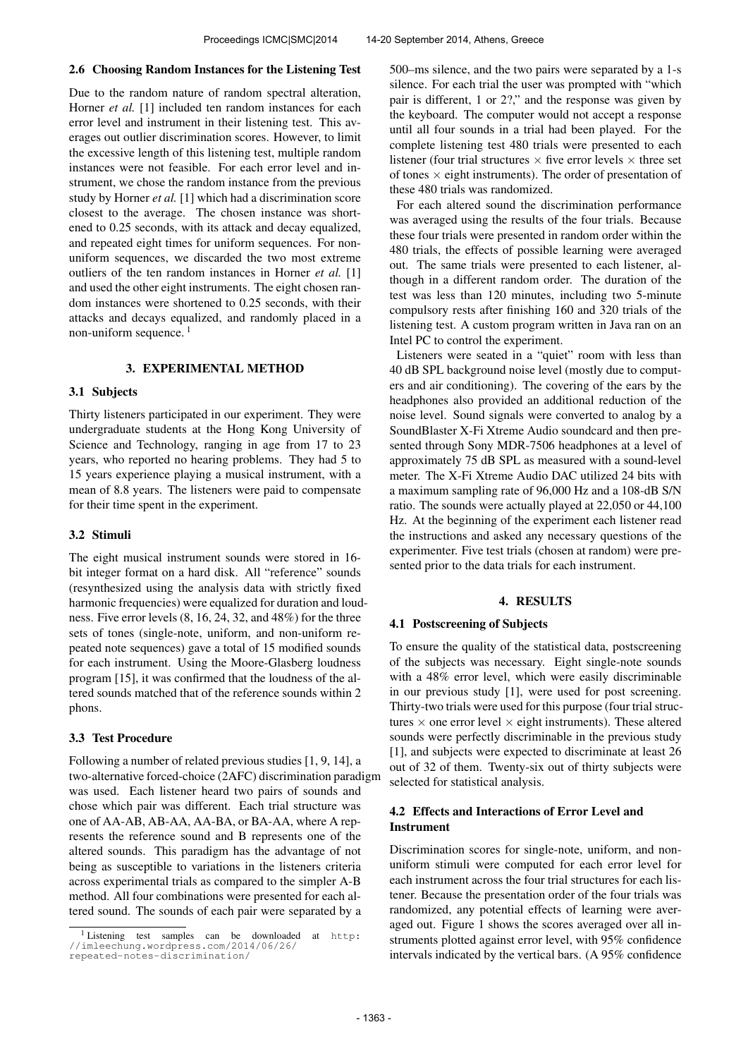## 2.6 Choosing Random Instances for the Listening Test

Due to the random nature of random spectral alteration, Horner *et al.* [1] included ten random instances for each error level and instrument in their listening test. This averages out outlier discrimination scores. However, to limit the excessive length of this listening test, multiple random instances were not feasible. For each error level and instrument, we chose the random instance from the previous study by Horner *et al.* [1] which had a discrimination score closest to the average. The chosen instance was shortened to 0.25 seconds, with its attack and decay equalized, and repeated eight times for uniform sequences. For nonuniform sequences, we discarded the two most extreme outliers of the ten random instances in Horner *et al.* [1] and used the other eight instruments. The eight chosen random instances were shortened to 0.25 seconds, with their attacks and decays equalized, and randomly placed in a non-uniform sequence.<sup>1</sup>

## 3. EXPERIMENTAL METHOD

#### 3.1 Subjects

Thirty listeners participated in our experiment. They were undergraduate students at the Hong Kong University of Science and Technology, ranging in age from 17 to 23 years, who reported no hearing problems. They had 5 to 15 years experience playing a musical instrument, with a mean of 8.8 years. The listeners were paid to compensate for their time spent in the experiment.

#### 3.2 Stimuli

The eight musical instrument sounds were stored in 16 bit integer format on a hard disk. All "reference" sounds (resynthesized using the analysis data with strictly fixed harmonic frequencies) were equalized for duration and loudness. Five error levels (8, 16, 24, 32, and 48%) for the three sets of tones (single-note, uniform, and non-uniform repeated note sequences) gave a total of 15 modified sounds for each instrument. Using the Moore-Glasberg loudness program [15], it was confirmed that the loudness of the altered sounds matched that of the reference sounds within 2 phons.

## 3.3 Test Procedure

Following a number of related previous studies [1, 9, 14], a two-alternative forced-choice (2AFC) discrimination paradigm was used. Each listener heard two pairs of sounds and chose which pair was different. Each trial structure was one of AA-AB, AB-AA, AA-BA, or BA-AA, where A represents the reference sound and B represents one of the altered sounds. This paradigm has the advantage of not being as susceptible to variations in the listeners criteria across experimental trials as compared to the simpler A-B method. All four combinations were presented for each altered sound. The sounds of each pair were separated by a

500–ms silence, and the two pairs were separated by a 1-s silence. For each trial the user was prompted with "which pair is different, 1 or 2?," and the response was given by the keyboard. The computer would not accept a response until all four sounds in a trial had been played. For the complete listening test 480 trials were presented to each listener (four trial structures  $\times$  five error levels  $\times$  three set of tones  $\times$  eight instruments). The order of presentation of these 480 trials was randomized.

For each altered sound the discrimination performance was averaged using the results of the four trials. Because these four trials were presented in random order within the 480 trials, the effects of possible learning were averaged out. The same trials were presented to each listener, although in a different random order. The duration of the test was less than 120 minutes, including two 5-minute compulsory rests after finishing 160 and 320 trials of the listening test. A custom program written in Java ran on an Intel PC to control the experiment.

Listeners were seated in a "quiet" room with less than 40 dB SPL background noise level (mostly due to computers and air conditioning). The covering of the ears by the headphones also provided an additional reduction of the noise level. Sound signals were converted to analog by a SoundBlaster X-Fi Xtreme Audio soundcard and then presented through Sony MDR-7506 headphones at a level of approximately 75 dB SPL as measured with a sound-level meter. The X-Fi Xtreme Audio DAC utilized 24 bits with a maximum sampling rate of 96,000 Hz and a 108-dB S/N ratio. The sounds were actually played at 22,050 or 44,100 Hz. At the beginning of the experiment each listener read the instructions and asked any necessary questions of the experimenter. Five test trials (chosen at random) were presented prior to the data trials for each instrument.

## 4. RESULTS

## 4.1 Postscreening of Subjects

To ensure the quality of the statistical data, postscreening of the subjects was necessary. Eight single-note sounds with a 48% error level, which were easily discriminable in our previous study [1], were used for post screening. Thirty-two trials were used for this purpose (four trial structures  $\times$  one error level  $\times$  eight instruments). These altered sounds were perfectly discriminable in the previous study [1], and subjects were expected to discriminate at least 26 out of 32 of them. Twenty-six out of thirty subjects were selected for statistical analysis.

## 4.2 Effects and Interactions of Error Level and Instrument

Discrimination scores for single-note, uniform, and nonuniform stimuli were computed for each error level for each instrument across the four trial structures for each listener. Because the presentation order of the four trials was randomized, any potential effects of learning were averaged out. Figure 1 shows the scores averaged over all instruments plotted against error level, with 95% confidence intervals indicated by the vertical bars. (A 95% confidence

<sup>1</sup> Listening test samples can be downloaded at [http:](http://imleechung.wordpress.com/2014/06/26/repeated-notes-discrimination/) [//imleechung.wordpress.com/2014/06/26/](http://imleechung.wordpress.com/2014/06/26/repeated-notes-discrimination/) [repeated-notes-discrimination/](http://imleechung.wordpress.com/2014/06/26/repeated-notes-discrimination/)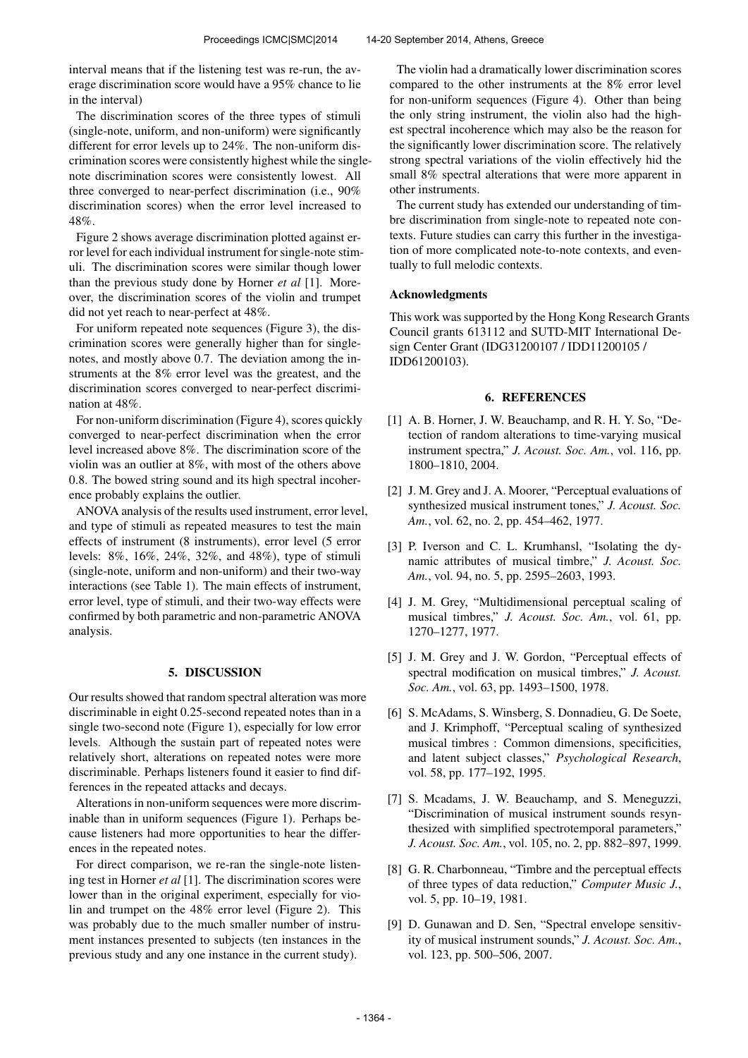interval means that if the listening test was re-run, the average discrimination score would have a 95% chance to lie in the interval)

The discrimination scores of the three types of stimuli (single-note, uniform, and non-uniform) were significantly different for error levels up to 24%. The non-uniform discrimination scores were consistently highest while the singlenote discrimination scores were consistently lowest. All three converged to near-perfect discrimination (i.e., 90% discrimination scores) when the error level increased to 48%.

Figure 2 shows average discrimination plotted against error level for each individual instrument for single-note stimuli. The discrimination scores were similar though lower than the previous study done by Horner *et al* [1]. Moreover, the discrimination scores of the violin and trumpet did not yet reach to near-perfect at 48%.

For uniform repeated note sequences (Figure 3), the discrimination scores were generally higher than for singlenotes, and mostly above 0.7. The deviation among the instruments at the 8% error level was the greatest, and the discrimination scores converged to near-perfect discrimination at 48%.

For non-uniform discrimination (Figure 4), scores quickly converged to near-perfect discrimination when the error level increased above 8%. The discrimination score of the violin was an outlier at 8%, with most of the others above 0.8. The bowed string sound and its high spectral incoherence probably explains the outlier.

ANOVA analysis of the results used instrument, error level, and type of stimuli as repeated measures to test the main effects of instrument (8 instruments), error level (5 error levels: 8%, 16%, 24%, 32%, and 48%), type of stimuli (single-note, uniform and non-uniform) and their two-way interactions (see Table 1). The main effects of instrument, error level, type of stimuli, and their two-way effects were confirmed by both parametric and non-parametric ANOVA analysis.

#### 5. DISCUSSION

Our results showed that random spectral alteration was more discriminable in eight 0.25-second repeated notes than in a single two-second note (Figure 1), especially for low error levels. Although the sustain part of repeated notes were relatively short, alterations on repeated notes were more discriminable. Perhaps listeners found it easier to find differences in the repeated attacks and decays.

Alterations in non-uniform sequences were more discriminable than in uniform sequences (Figure 1). Perhaps because listeners had more opportunities to hear the differences in the repeated notes.

For direct comparison, we re-ran the single-note listening test in Horner *et al* [1]. The discrimination scores were lower than in the original experiment, especially for violin and trumpet on the 48% error level (Figure 2). This was probably due to the much smaller number of instrument instances presented to subjects (ten instances in the previous study and any one instance in the current study).

The violin had a dramatically lower discrimination scores compared to the other instruments at the 8% error level for non-uniform sequences (Figure 4). Other than being the only string instrument, the violin also had the highest spectral incoherence which may also be the reason for the significantly lower discrimination score. The relatively strong spectral variations of the violin effectively hid the small 8% spectral alterations that were more apparent in other instruments.

The current study has extended our understanding of timbre discrimination from single-note to repeated note contexts. Future studies can carry this further in the investigation of more complicated note-to-note contexts, and eventually to full melodic contexts.

#### Acknowledgments

This work was supported by the Hong Kong Research Grants Council grants 613112 and SUTD-MIT International Design Center Grant (IDG31200107 / IDD11200105 / IDD61200103).

#### 6. REFERENCES

- [1] A. B. Horner, J. W. Beauchamp, and R. H. Y. So, "Detection of random alterations to time-varying musical instrument spectra," *J. Acoust. Soc. Am.*, vol. 116, pp. 1800–1810, 2004.
- [2] J. M. Grey and J. A. Moorer, "Perceptual evaluations of synthesized musical instrument tones," *J. Acoust. Soc. Am.*, vol. 62, no. 2, pp. 454–462, 1977.
- [3] P. Iverson and C. L. Krumhansl, "Isolating the dynamic attributes of musical timbre," *J. Acoust. Soc. Am.*, vol. 94, no. 5, pp. 2595–2603, 1993.
- [4] J. M. Grey, "Multidimensional perceptual scaling of musical timbres," *J. Acoust. Soc. Am.*, vol. 61, pp. 1270–1277, 1977.
- [5] J. M. Grey and J. W. Gordon, "Perceptual effects of spectral modification on musical timbres," *J. Acoust. Soc. Am.*, vol. 63, pp. 1493–1500, 1978.
- [6] S. McAdams, S. Winsberg, S. Donnadieu, G. De Soete, and J. Krimphoff, "Perceptual scaling of synthesized musical timbres : Common dimensions, specificities, and latent subject classes," *Psychological Research*, vol. 58, pp. 177–192, 1995.
- [7] S. Mcadams, J. W. Beauchamp, and S. Meneguzzi, "Discrimination of musical instrument sounds resynthesized with simplified spectrotemporal parameters," *J. Acoust. Soc. Am.*, vol. 105, no. 2, pp. 882–897, 1999.
- [8] G. R. Charbonneau, "Timbre and the perceptual effects of three types of data reduction," *Computer Music J.*, vol. 5, pp. 10-19, 1981.
- [9] D. Gunawan and D. Sen, "Spectral envelope sensitivity of musical instrument sounds," *J. Acoust. Soc. Am.*, vol. 123, pp. 500–506, 2007.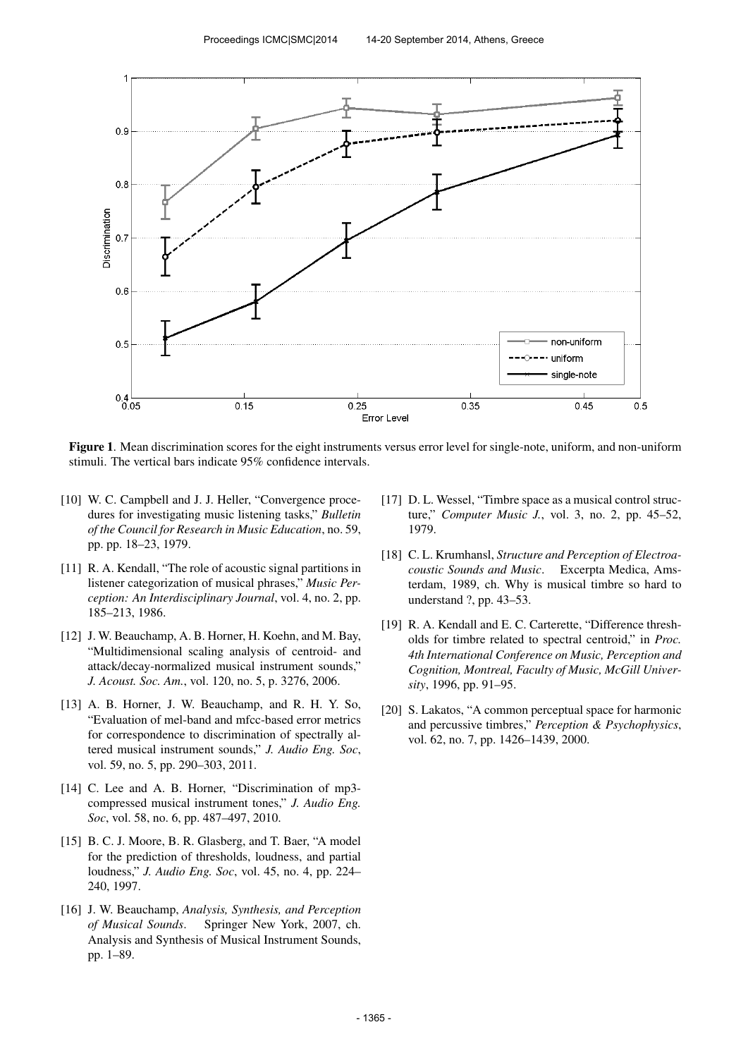

Figure 1. Mean discrimination scores for the eight instruments versus error level for single-note, uniform, and non-uniform stimuli. The vertical bars indicate 95% confidence intervals.

- [10] W. C. Campbell and J. J. Heller, "Convergence procedures for investigating music listening tasks," *Bulletin of the Council for Research in Music Education*, no. 59, pp. pp. 18–23, 1979.
- [11] R. A. Kendall, "The role of acoustic signal partitions in listener categorization of musical phrases," *Music Perception: An Interdisciplinary Journal*, vol. 4, no. 2, pp. 185–213, 1986.
- [12] J. W. Beauchamp, A. B. Horner, H. Koehn, and M. Bay, "Multidimensional scaling analysis of centroid- and attack/decay-normalized musical instrument sounds," *J. Acoust. Soc. Am.*, vol. 120, no. 5, p. 3276, 2006.
- [13] A. B. Horner, J. W. Beauchamp, and R. H. Y. So, "Evaluation of mel-band and mfcc-based error metrics for correspondence to discrimination of spectrally altered musical instrument sounds," *J. Audio Eng. Soc*, vol. 59, no. 5, pp. 290–303, 2011.
- [14] C. Lee and A. B. Horner, "Discrimination of mp3 compressed musical instrument tones," *J. Audio Eng. Soc*, vol. 58, no. 6, pp. 487–497, 2010.
- [15] B. C. J. Moore, B. R. Glasberg, and T. Baer, "A model for the prediction of thresholds, loudness, and partial loudness," *J. Audio Eng. Soc*, vol. 45, no. 4, pp. 224– 240, 1997.
- [16] J. W. Beauchamp, *Analysis, Synthesis, and Perception of Musical Sounds*. Springer New York, 2007, ch. Analysis and Synthesis of Musical Instrument Sounds, pp. 1–89.
- [17] D. L. Wessel, "Timbre space as a musical control structure," *Computer Music J.*, vol. 3, no. 2, pp. 45–52, 1979.
- [18] C. L. Krumhansl, *Structure and Perception of Electroacoustic Sounds and Music*. Excerpta Medica, Amsterdam, 1989, ch. Why is musical timbre so hard to understand ?, pp. 43–53.
- [19] R. A. Kendall and E. C. Carterette, "Difference thresholds for timbre related to spectral centroid," in *Proc. 4th International Conference on Music, Perception and Cognition, Montreal, Faculty of Music, McGill University*, 1996, pp. 91–95.
- [20] S. Lakatos, "A common perceptual space for harmonic and percussive timbres," *Perception & Psychophysics*, vol. 62, no. 7, pp. 1426–1439, 2000.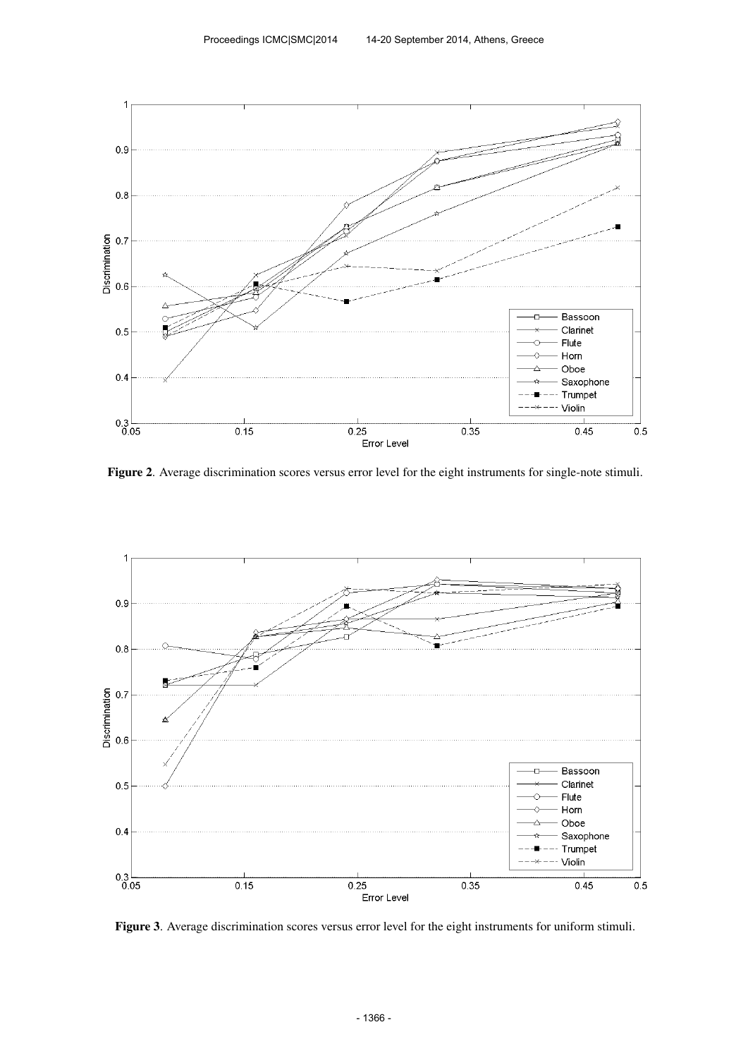

Figure 2. Average discrimination scores versus error level for the eight instruments for single-note stimuli.



Figure 3. Average discrimination scores versus error level for the eight instruments for uniform stimuli.